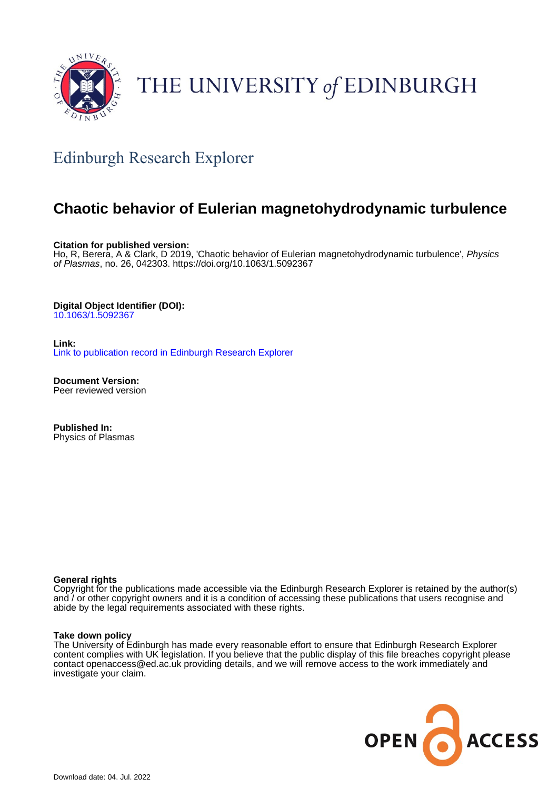

# THE UNIVERSITY of EDINBURGH

# Edinburgh Research Explorer

## **Chaotic behavior of Eulerian magnetohydrodynamic turbulence**

**Citation for published version:**

Ho, R, Berera, A & Clark, D 2019, 'Chaotic behavior of Eulerian magnetohydrodynamic turbulence', Physics of Plasmas, no. 26, 042303.<https://doi.org/10.1063/1.5092367>

### **Digital Object Identifier (DOI):**

[10.1063/1.5092367](https://doi.org/10.1063/1.5092367)

**Link:** [Link to publication record in Edinburgh Research Explorer](https://www.research.ed.ac.uk/en/publications/6da20490-d8ff-4004-acb0-51af96e1e8d0)

**Document Version:** Peer reviewed version

**Published In:** Physics of Plasmas

#### **General rights**

Copyright for the publications made accessible via the Edinburgh Research Explorer is retained by the author(s) and / or other copyright owners and it is a condition of accessing these publications that users recognise and abide by the legal requirements associated with these rights.

#### **Take down policy**

The University of Edinburgh has made every reasonable effort to ensure that Edinburgh Research Explorer content complies with UK legislation. If you believe that the public display of this file breaches copyright please contact openaccess@ed.ac.uk providing details, and we will remove access to the work immediately and investigate your claim.

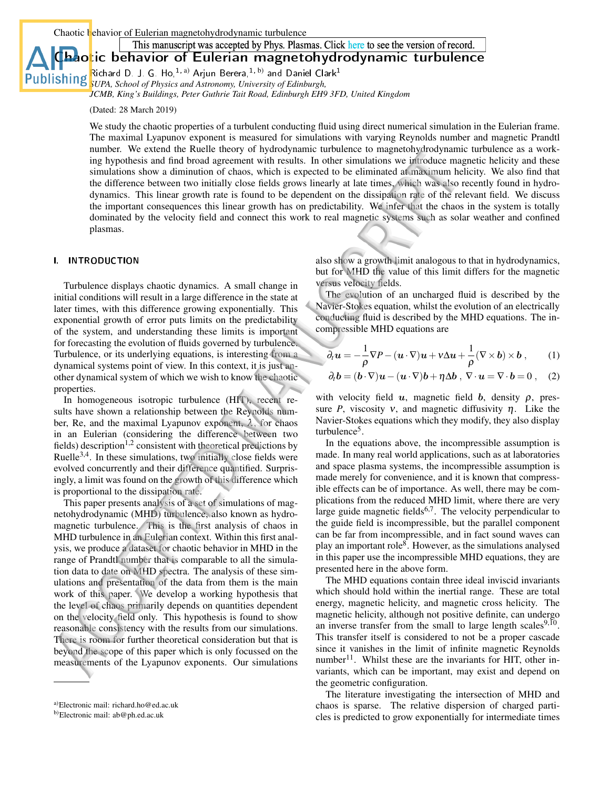#### This manuscript was accepted by Phys. Plasmas. Click here to see the version of record. haotic [behavior of Eulerian magnetohydrodynamic turbulence](http://dx.doi.org/10.1063/1.5092367)

Richard D. J. G. Ho,  $1, a)$  Arjun Berera,  $1, b)$  and Daniel Clark<sup>1</sup> *SUPA, School of Physics and Astronomy, University of Edinburgh,*

*JCMB, King's Buildings, Peter Guthrie Tait Road, Edinburgh EH9 3FD, United Kingdom*

(Dated: 28 March 2019)

We study the chaotic properties of a turbulent conducting fluid using direct numerical simulation in the Eulerian frame. The maximal Lyapunov exponent is measured for simulations with varying Reynolds number and magnetic Prandtl number. We extend the Ruelle theory of hydrodynamic turbulence to magnetohydrodynamic turbulence as a working hypothesis and find broad agreement with results. In other simulations we introduce magnetic helicity and these simulations show a diminution of chaos, which is expected to be eliminated at maximum helicity. We also find that the difference between two initially close fields grows linearly at late times, which was also recently found in hydrodynamics. This linear growth rate is found to be dependent on the dissipation rate of the relevant field. We discuss the important consequences this linear growth has on predictability. We infer that the chaos in the system is totally dominated by the velocity field and connect this work to real magnetic systems such as solar weather and confined plasmas.

#### I. INTRODUCTION

Turbulence displays chaotic dynamics. A small change in initial conditions will result in a large difference in the state at later times, with this difference growing exponentially. This exponential growth of error puts limits on the predictability of the system, and understanding these limits is important for forecasting the evolution of fluids governed by turbulence. Turbulence, or its underlying equations, is interesting from a dynamical systems point of view. In this context, it is just another dynamical system of which we wish to know the chaotic properties.

In homogeneous isotropic turbulence (HIT), recent results have shown a relationship between the Reynolds number, Re, and the maximal Lyapunov exponent, λ, for chaos in an Eulerian (considering the difference between two fields) description<sup>1,2</sup> consistent with theoretical predictions by Ruelle<sup>3,4</sup>. In these simulations, two initially close fields were evolved concurrently and their difference quantified. Surprisingly, a limit was found on the growth of this difference which is proportional to the dissipation rate.

This paper presents analysis of a set of simulations of magnetohydrodynamic (MHD) turbulence, also known as hydromagnetic turbulence. This is the first analysis of chaos in MHD turbulence in an Eulerian context. Within this first analysis, we produce a dataset for chaotic behavior in MHD in the range of Prandtl number that is comparable to all the simulation data to date on MHD spectra. The analysis of these simulations and presentation of the data from them is the main work of this paper. We develop a working hypothesis that the level of chaos primarily depends on quantities dependent on the velocity field only. This hypothesis is found to show reasonable consistency with the results from our simulations. There is room for further theoretical consideration but that is beyond the scope of this paper which is only focussed on the measurements of the Lyapunov exponents. Our simulations

also show a growth limit analogous to that in hydrodynamics, but for MHD the value of this limit differs for the magnetic versus velocity fields.

The evolution of an uncharged fluid is described by the Navier-Stokes equation, whilst the evolution of an electrically conducting fluid is described by the MHD equations. The incompressible MHD equations are

$$
\overline{\partial_t} \mathbf{u} = -\frac{1}{\rho} \nabla P - (\mathbf{u} \cdot \nabla) \mathbf{u} + \mathbf{v} \Delta \mathbf{u} + \frac{1}{\rho} (\nabla \times \mathbf{b}) \times \mathbf{b} , \qquad (1)
$$

$$
\partial_t \mathbf{b} = (\mathbf{b} \cdot \nabla) \mathbf{u} - (\mathbf{u} \cdot \nabla) \mathbf{b} + \eta \Delta \mathbf{b} , \ \nabla \cdot \mathbf{u} = \nabla \cdot \mathbf{b} = 0 , \quad (2)
$$

with velocity field  $u$ , magnetic field  $b$ , density  $\rho$ , pressure *P*, viscosity *v*, and magnetic diffusivity  $\eta$ . Like the Navier-Stokes equations which they modify, they also display turbulence<sup>5</sup>.

In the equations above, the incompressible assumption is made. In many real world applications, such as at laboratories and space plasma systems, the incompressible assumption is made merely for convenience, and it is known that compressible effects can be of importance. As well, there may be complications from the reduced MHD limit, where there are very large guide magnetic fields $6,7$ . The velocity perpendicular to the guide field is incompressible, but the parallel component can be far from incompressible, and in fact sound waves can play an important role<sup>8</sup>. However, as the simulations analysed in this paper use the incompressible MHD equations, they are presented here in the above form.

The MHD equations contain three ideal inviscid invariants which should hold within the inertial range. These are total energy, magnetic helicity, and magnetic cross helicity. The magnetic helicity, although not positive definite, can undergo an inverse transfer from the small to large length scales $9,10$ . This transfer itself is considered to not be a proper cascade since it vanishes in the limit of infinite magnetic Reynolds number<sup>11</sup>. Whilst these are the invariants for HIT, other invariants, which can be important, may exist and depend on the geometric configuration.

The literature investigating the intersection of MHD and chaos is sparse. The relative dispersion of charged particles is predicted to grow exponentially for intermediate times

a)Electronic mail: richard.ho@ed.ac.uk

b)Electronic mail: ab@ph.ed.ac.uk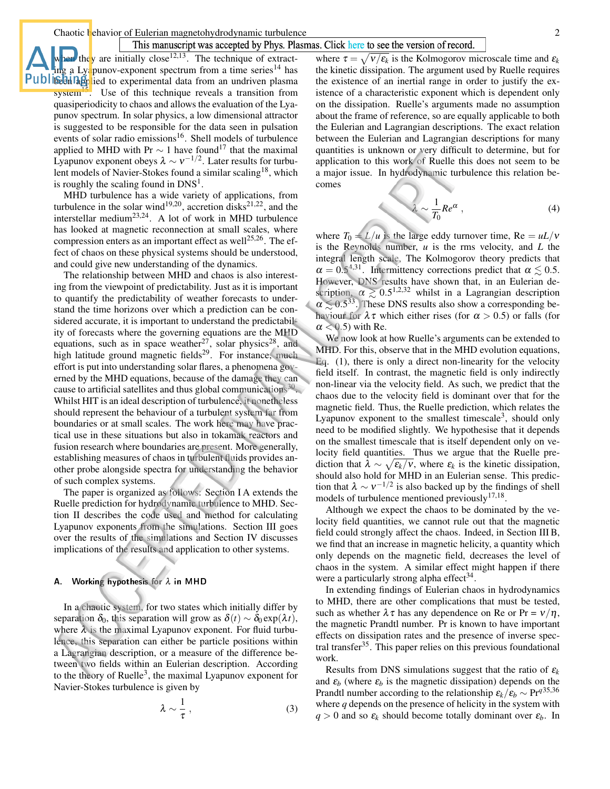they are initially close<sup>12,13</sup>. The technique of extracting a Lyapunov-exponent spectrum from a time series<sup>14</sup> has Publistinging lied to experimental data from an undriven plasma system<sup>15</sup>. Use of this technique reveals a transition from quasiperiodicity to chaos and allows the evaluation of the Lyapunov spectrum. In solar physics, a low dimensional attractor is suggested to be responsible for the data seen in pulsation events of solar radio emissions<sup>16</sup>. Shell models of turbulence applied to MHD with Pr  $\sim$  1 have found<sup>17</sup> that the maximal Lyapunov exponent obeys  $\lambda \sim v^{-1/2}$ . Later results for turbulent models of Navier-Stokes found a similar scaling18, which is roughly the scaling found in  $DNS<sup>1</sup>$ .

> MHD turbulence has a wide variety of applications, from turbulence in the solar wind<sup>19,20</sup>, accretion disks<sup>21,22</sup>, and the interstellar medium23,24. A lot of work in MHD turbulence has looked at magnetic reconnection at small scales, where compression enters as an important effect as well<sup>25,26</sup>. The effect of chaos on these physical systems should be understood, and could give new understanding of the dynamics.

> The relationship between MHD and chaos is also interesting from the viewpoint of predictability. Just as it is important to quantify the predictability of weather forecasts to understand the time horizons over which a prediction can be considered accurate, it is important to understand the predictability of forecasts where the governing equations are the MHD equations, such as in space weather<sup>27</sup>, solar physics<sup>28</sup>, and high latitude ground magnetic fields<sup>29</sup>. For instance, much effort is put into understanding solar flares, a phenomena governed by the MHD equations, because of the damage they can cause to artificial satellites and thus global communications<sup>30</sup>. Whilst HIT is an ideal description of turbulence, it nonetheless should represent the behaviour of a turbulent system far from boundaries or at small scales. The work here may have practical use in these situations but also in tokamak reactors and fusion research where boundaries are present. More generally, establishing measures of chaos in turbulent fluids provides another probe alongside spectra for understanding the behavior of such complex systems.

> The paper is organized as follows: Section I A extends the Ruelle prediction for hydrodynamic turbulence to MHD. Section II describes the code used and method for calculating Lyapunov exponents from the simulations. Section III goes over the results of the simulations and Section IV discusses implications of the results and application to other systems.

### A. Working hypothesis for λ in MHD

In a chaotic system, for two states which initially differ by separation  $\delta_0$ , this separation will grow as  $\delta(t) \sim \delta_0 \exp(\lambda t)$ , where  $\lambda$  is the maximal Lyapunov exponent. For fluid turbulence, this separation can either be particle positions within a Lagrangian description, or a measure of the difference between two fields within an Eulerian description. According to the theory of Ruelle<sup>3</sup>, the maximal Lyapunov exponent for Navier-Stokes turbulence is given by

$$
\lambda \sim \frac{1}{\tau} \,,\tag{3}
$$

where  $\tau = \sqrt{v/\varepsilon_k}$  is the Kolmogorov microscale time and  $\varepsilon_k$ the kinetic dissipation. The argument used by Ruelle requires the existence of an inertial range in order to justify the existence of a characteristic exponent which is dependent only on the dissipation. Ruelle's arguments made no assumption about the frame of reference, so are equally applicable to both the Eulerian and Lagrangian descriptions. The exact relation between the Eulerian and Lagrangian descriptions for many quantities is unknown or very difficult to determine, but for application to this work of Ruelle this does not seem to be a major issue. In hydrodynamic turbulence this relation becomes

$$
\lambda \sim \frac{1}{T_0} Re^{\alpha} \,, \tag{4}
$$

where  $T_0 = L/u$  is the large eddy turnover time,  $Re = uL/v$ is the Reynolds number, *u* is the rms velocity, and *L* the integral length scale, The Kolmogorov theory predicts that  $\alpha = 0.5^{4,31}$ . Intermittency corrections predict that  $\alpha \lesssim 0.5$ . However, DNS results have shown that, in an Eulerian description,  $\alpha \gtrsim 0.5^{1,2,32}$  whilst in a Lagrangian description  $\alpha \lesssim 0.5^{33}$ . These DNS results also show a corresponding behaviour for  $\lambda \tau$  which either rises (for  $\alpha > 0.5$ ) or falls (for  $\alpha$  < 0.5) with Re.

We now look at how Ruelle's arguments can be extended to MHD. For this, observe that in the MHD evolution equations, Eq. (1), there is only a direct non-linearity for the velocity field itself. In contrast, the magnetic field is only indirectly non-linear via the velocity field. As such, we predict that the chaos due to the velocity field is dominant over that for the magnetic field. Thus, the Ruelle prediction, which relates the Lyapunov exponent to the smallest timescale<sup>3</sup>, should only need to be modified slightly. We hypothesise that it depends on the smallest timescale that is itself dependent only on velocity field quantities. Thus we argue that the Ruelle prediction that  $\lambda \sim \sqrt{\varepsilon_k/v}$ , where  $\varepsilon_k$  is the kinetic dissipation, should also hold for MHD in an Eulerian sense. This prediction that  $\lambda \sim v^{-1/2}$  is also backed up by the findings of shell models of turbulence mentioned previously $17,18$ .

Although we expect the chaos to be dominated by the velocity field quantities, we cannot rule out that the magnetic field could strongly affect the chaos. Indeed, in Section III B, we find that an increase in magnetic helicity, a quantity which only depends on the magnetic field, decreases the level of chaos in the system. A similar effect might happen if there were a particularly strong alpha effect<sup>34</sup>.

In extending findings of Eulerian chaos in hydrodynamics to MHD, there are other complications that must be tested, such as whether  $\lambda \tau$  has any dependence on Re or Pr =  $v/\eta$ , the magnetic Prandtl number. Pr is known to have important effects on dissipation rates and the presence of inverse spectral transfer<sup>35</sup>. This paper relies on this previous foundational work.

Results from DNS simulations suggest that the ratio of <sup>ε</sup>*<sup>k</sup>* and  $\varepsilon_b$  (where  $\varepsilon_b$  is the magnetic dissipation) depends on the Prandtl number according to the relationship  $\varepsilon_k/\varepsilon_b \sim \text{Pr}^{q35,36}$ where *q* depends on the presence of helicity in the system with  $q > 0$  and so  $\varepsilon_k$  should become totally dominant over  $\varepsilon_b$ . In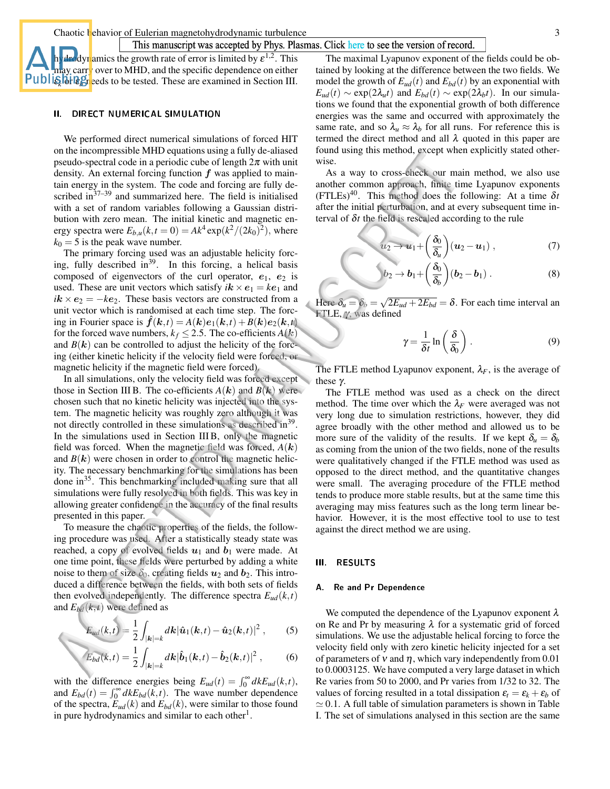This manuscript was accepted by Phys. Plasmas. Click here to see the version of record. hydrodynamics the growth rate of error is limited by  $\varepsilon^{1,2}$ . This tay carry over to MHD, and the specific dependence on either **Publis biliges** eds to be tested. These are examined in Section III.

#### II. DIRECT NUMERICAL SIMULATION

We performed direct numerical simulations of forced HIT on the incompressible MHD equations using a fully de-aliased pseudo-spectral code in a periodic cube of length  $2\pi$  with unit density. An external forcing function *f* was applied to maintain energy in the system. The code and forcing are fully described  $\overline{in}^{37-39}$  and summarized here. The field is initialised with a set of random variables following a Gaussian distribution with zero mean. The initial kinetic and magnetic energy spectra were  $E_{b,\mu}(k,t=0) = Ak^4 \exp(k^2/(2k_0)^2)$ , where  $k_0 = 5$  is the peak wave number.

The primary forcing used was an adjustable helicity forcing, fully described in  $39$ . In this forcing, a helical basis composed of eigenvectors of the curl operator,  $e_1$ ,  $e_2$  is used. These are unit vectors which satisfy  $i\mathbf{k} \times \mathbf{e}_1 = k\mathbf{e}_1$  and  $ik \times e_2 = -ke_2$ . These basis vectors are constructed from a unit vector which is randomised at each time step. The forcing in Fourier space is  $\hat{f}(\mathbf{k},t) = A(\mathbf{k})e_1(\mathbf{k},t) + B(\mathbf{k})e_2(\mathbf{k},t)$ for the forced wave numbers,  $k_f \leq 2.5$ . The co-efficients  $A(k)$ and  $B(\mathbf{k})$  can be controlled to adjust the helicity of the forcing (either kinetic helicity if the velocity field were forced, or magnetic helicity if the magnetic field were forced).

In all simulations, only the velocity field was forced except those in Section III B. The co-efficients  $A(\mathbf{k})$  and  $B(\mathbf{k})$  were chosen such that no kinetic helicity was injected into the system. The magnetic helicity was roughly zero although it was not directly controlled in these simulations as described in<sup>39</sup>. In the simulations used in Section III B, only the magnetic field was forced. When the magnetic field was forced,  $A(\mathbf{k})$ and  $B(\mathbf{k})$  were chosen in order to control the magnetic helicity. The necessary benchmarking for the simulations has been done in<sup>35</sup>. This benchmarking included making sure that all simulations were fully resolved in both fields. This was key in allowing greater confidence in the accuracy of the final results presented in this paper.

To measure the chaotic properties of the fields, the following procedure was used. After a statistically steady state was reached, a copy of evolved fields  $u_1$  and  $b_1$  were made. At one time point, these fields were perturbed by adding a white noise to them of size  $\delta_0$ , creating fields  $u_2$  and  $b_2$ . This introduced a difference between the fields, with both sets of fields then evolved independently. The difference spectra  $E_{ud}(k,t)$ and  $E_{bd}(k,t)$  were defined as

$$
E_{ud}(k,t) = \frac{1}{2} \int_{|\mathbf{k}|=k} dk |\hat{\mathbf{u}}_1(\mathbf{k},t) - \hat{\mathbf{u}}_2(\mathbf{k},t)|^2 , \qquad (5)
$$

$$
E_{bd}(k,t) = \frac{1}{2} \int_{|\mathbf{k}|=k} dk |\hat{\mathbf{b}}_1(\mathbf{k},t) - \hat{\mathbf{b}}_2(\mathbf{k},t)|^2 , \qquad (6)
$$

with the difference energies being  $E_{ud}(t) = \int_0^\infty d k E_{ud}(k,t)$ , and  $E_{bd}(t) = \int_0^\infty dk E_{bd}(k,t)$ . The wave number dependence of the spectra,  $E_{ud}(k)$  and  $E_{bd}(k)$ , were similar to those found in pure hydrodynamics and similar to each other<sup>1</sup>.

The maximal Lyapunov exponent of the fields could be obtained by looking at the difference between the two fields. We model the growth of  $E_{ud}(t)$  and  $E_{bd}(t)$  by an exponential with  $E_{ud}(t) \sim \exp(2\lambda_u t)$  and  $E_{bd}(t) \sim \exp(2\lambda_b t)$ . In our simulations we found that the exponential growth of both difference energies was the same and occurred with approximately the same rate, and so  $\lambda_u \approx \lambda_b$  for all runs. For reference this is termed the direct method and all  $\lambda$  quoted in this paper are found using this method, except when explicitly stated otherwise.

As a way to cross-check our main method, we also use another common approach, finite time Lyapunov exponents (FTLEs)<sup>40</sup>. This method does the following: At a time  $\delta t$ after the initial perturbation, and at every subsequent time interval of δ*t* the field is rescaled according to the rule

$$
u_2 \to u_1 + \left(\frac{\delta_0}{\delta_u}\right) (u_2 - u_1) , \qquad (7)
$$

$$
b_2 \to b_1 + \left(\frac{\delta_0}{\delta_b}\right) (b_2 - b_1) \ . \tag{8}
$$

Here  $\delta_u = \delta_b = \sqrt{2E_{ud} + 2E_{bd}} = \delta$ . For each time interval an FTLE,  $\gamma$ , was defined

$$
\gamma = \frac{1}{\delta t} \ln \left( \frac{\delta}{\delta_0} \right) . \tag{9}
$$

The FTLE method Lyapunov exponent,  $\lambda_F$ , is the average of these γ.

The FTLE method was used as a check on the direct method. The time over which the  $\lambda_F$  were averaged was not very long due to simulation restrictions, however, they did agree broadly with the other method and allowed us to be more sure of the validity of the results. If we kept  $\delta_u = \delta_b$ as coming from the union of the two fields, none of the results were qualitatively changed if the FTLE method was used as opposed to the direct method, and the quantitative changes were small. The averaging procedure of the FTLE method tends to produce more stable results, but at the same time this averaging may miss features such as the long term linear behavior. However, it is the most effective tool to use to test against the direct method we are using.

#### III. RESULTS

#### A. Re and Pr Dependence

We computed the dependence of the Lyapunov exponent  $\lambda$ on Re and Pr by measuring  $\lambda$  for a systematic grid of forced simulations. We use the adjustable helical forcing to force the velocity field only with zero kinetic helicity injected for a set of parameters of v and  $\eta$ , which vary independently from 0.01 to 0.0003125. We have computed a very large dataset in which Re varies from 50 to 2000, and Pr varies from 1/32 to 32. The values of forcing resulted in a total dissipation  $\varepsilon_t = \varepsilon_k + \varepsilon_b$  of *≃* 0*.*1. A full table of simulation parameters is shown in Table I. The set of simulations analysed in this section are the same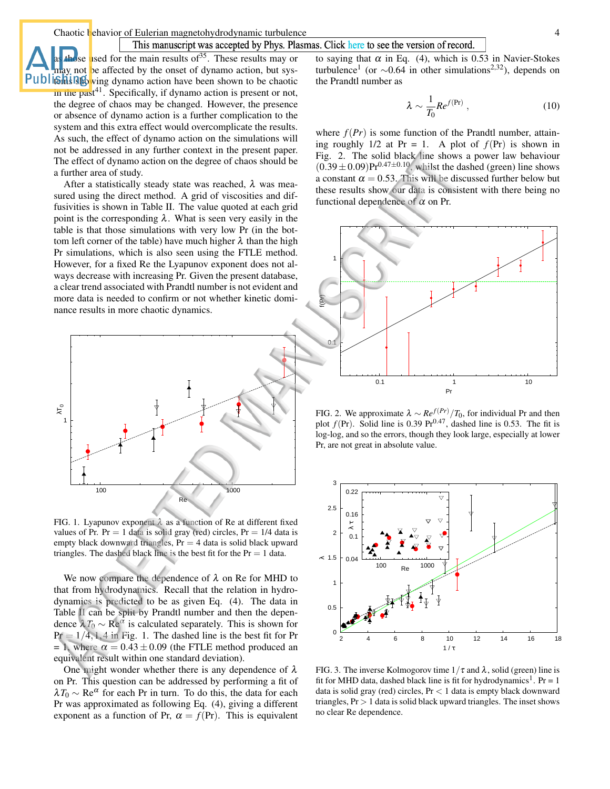Chaotic behavio[r of Eulerian magnetohydrodynamic turbulence](http://dx.doi.org/10.1063/1.5092367) 4 and 4 and 4 and 4 and 4 and 4 and 4 and 4 and 4 and 4 and 4 and 4 and 4 and 4 and 4 and 4 and 4 and 4 and 4 and 4 and 4 and 4 and 4 and 4 and 4 and 4 and 4 and

#### This manuscript was accepted by Phys. Plasmas. Click here to see the version of record.

**hose** used for the main results of  $35$ . These results may or may not be affected by the onset of dynamo action, but sys-Publishing wing dynamo action have been shown to be chaotic in the past<sup>41</sup>. Specifically, if dynamo action is present or not, the degree of chaos may be changed. However, the presence or absence of dynamo action is a further complication to the system and this extra effect would overcomplicate the results. As such, the effect of dynamo action on the simulations will not be addressed in any further context in the present paper. The effect of dynamo action on the degree of chaos should be a further area of study.

> After a statistically steady state was reached,  $\lambda$  was measured using the direct method. A grid of viscosities and diffusivities is shown in Table II. The value quoted at each grid point is the corresponding  $\lambda$ . What is seen very easily in the table is that those simulations with very low Pr (in the bottom left corner of the table) have much higher  $\lambda$  than the high Pr simulations, which is also seen using the FTLE method. However, for a fixed Re the Lyapunov exponent does not always decrease with increasing Pr. Given the present database, a clear trend associated with Prandtl number is not evident and more data is needed to confirm or not whether kinetic dominance results in more chaotic dynamics.



FIG. 1. Lyapunov exponent  $\lambda$  as a function of Re at different fixed values of Pr. Pr = 1 data is solid gray (red) circles,  $Pr = 1/4$  data is empty black downward triangles,  $Pr = 4$  data is solid black upward triangles. The dashed black line is the best fit for the  $Pr = 1$  data.

We now compare the dependence of  $\lambda$  on Re for MHD to that from hydrodynamics. Recall that the relation in hydrodynamics is predicted to be as given Eq. (4). The data in Table II can be split by Prandtl number and then the dependence  $\lambda T_0 \sim \text{Re}^{\alpha}$  is calculated separately. This is shown for  $Pr = 1/4, 1, 4$  in Fig. 1. The dashed line is the best fit for Pr = 1, where  $\alpha = 0.43 \pm 0.09$  (the FTLE method produced an equivalent result within one standard deviation).

One might wonder whether there is any dependence of  $\lambda$ on Pr. This question can be addressed by performing a fit of  $\lambda T_0 \sim \text{Re}^{\alpha}$  for each Pr in turn. To do this, the data for each Pr was approximated as following Eq. (4), giving a different exponent as a function of Pr,  $\alpha = f(\text{Pr})$ . This is equivalent to saying that  $\alpha$  in Eq. (4), which is 0.53 in Navier-Stokes turbulence<sup>1</sup> (or *∼*0.64 in other simulations<sup>2,32</sup>), depends on the Prandtl number as

$$
\lambda \sim \frac{1}{T_0} Re^{f(\text{Pr})}, \qquad (10)
$$

where  $f(Pr)$  is some function of the Prandtl number, attaining roughly  $1/2$  at Pr = 1. A plot of  $f(\Pr)$  is shown in Fig. 2. The solid black line shows a power law behaviour  $(0.39 \pm 0.09)$ Pr<sup>0.47±0.10</sup>, whilst the dashed (green) line shows a constant  $\alpha = 0.53$ . This will be discussed further below but these results show our data is consistent with there being no functional dependence of  $\alpha$  on Pr.



FIG. 2. We approximate  $\lambda \sim Re^{f(P_r)}/T_0$ , for individual Pr and then plot  $f(\Pr)$ . Solid line is 0.39  $Pr^{0.47}$ , dashed line is 0.53. The fit is log-log, and so the errors, though they look large, especially at lower Pr, are not great in absolute value.



FIG. 3. The inverse Kolmogorov time  $1/\tau$  and  $\lambda$ , solid (green) line is fit for MHD data, dashed black line is fit for hydrodynamics<sup>1</sup>. Pr = 1 data is solid gray (red) circles, Pr *<* 1 data is empty black downward triangles, Pr *>* 1 data is solid black upward triangles. The inset shows no clear Re dependence.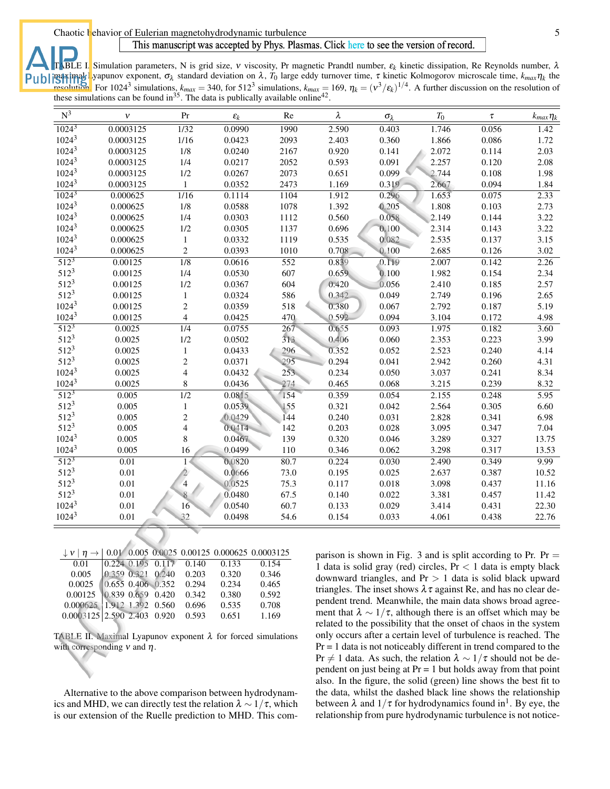Chaotic behavio[r of Eulerian magnetohydrodynamic turbulence](http://dx.doi.org/10.1063/1.5092367) 5 5

#### This manuscript was accepted by Phys. Plasmas. Click here to see the version of record.

**TABLE I.** Simulation parameters, N is grid size, v viscosity, Pr magnetic Prandtl number,  $\varepsilon_k$  kinetic dissipation, Re Reynolds number,  $\lambda$  $\arg\{x\}$   $\log\{1\}$   $\arg$  apunov exponent,  $\sigma_{\lambda}$  standard deviation on  $\lambda$ ,  $T_0$  large eddy turnover time,  $\tau$  kinetic Kolmogorov microscale time,  $k_{max}\eta_k$  the **resolution.** For 1024<sup>3</sup> simulations,  $k_{max} = 340$ , for 512<sup>3</sup> simulations,  $k_{max} = 169$ ,  $\eta_k = (v^3/\epsilon_k)^{1/4}$ . A further discussion on the resolution of these simulations can be found in  $35$ . The data is publically available online<sup>42</sup>.

| $N^3$    | v         | Pr               | $\mathcal{E}_k$ | Re               | λ     | $\sigma_{\lambda}$ | $T_0$ | τ     | $k_{max} \eta_k$ |
|----------|-----------|------------------|-----------------|------------------|-------|--------------------|-------|-------|------------------|
| $1024^3$ | 0.0003125 | 1/32             | 0.0990          | 1990             | 2.590 | 0.403              | 1.746 | 0.056 | 1.42             |
| $1024^3$ | 0.0003125 | 1/16             | 0.0423          | 2093             | 2.403 | 0.360              | 1.866 | 0.086 | 1.72             |
| $1024^3$ | 0.0003125 | 1/8              | 0.0240          | 2167             | 0.920 | 0.141              | 2.072 | 0.114 | 2.03             |
| $1024^3$ | 0.0003125 | 1/4              | 0.0217          | 2052             | 0.593 | 0.091              | 2.257 | 0.120 | 2.08             |
| $1024^3$ | 0.0003125 | 1/2              | 0.0267          | 2073             | 0.651 | 0.099              | 2.744 | 0.108 | 1.98             |
| $1024^3$ | 0.0003125 | $\mathbf{1}$     | 0.0352          | 2473             | 1.169 | 0.319              | 2.667 | 0.094 | 1.84             |
| $1024^3$ | 0.000625  | 1/16             | 0.1114          | 1104             | 1.912 | 0.296              | 1.653 | 0.075 | 2.33             |
| $1024^3$ | 0.000625  | 1/8              | 0.0588          | 1078             | 1.392 | 0.205              | 1.808 | 0.103 | 2.73             |
| $1024^3$ | 0.000625  | 1/4              | 0.0303          | 1112             | 0.560 | 0.058              | 2.149 | 0.144 | 3.22             |
| $1024^3$ | 0.000625  | 1/2              | 0.0305          | 1137             | 0.696 | 0.100              | 2.314 | 0.143 | 3.22             |
| $1024^3$ | 0.000625  | 1                | 0.0332          | 1119             | 0.535 | 0.082              | 2.535 | 0.137 | 3.15             |
| $1024^3$ | 0.000625  | 2                | 0.0393          | 1010             | 0.708 | 0.100              | 2.685 | 0.126 | 3.02             |
| $512^3$  | 0.00125   | $\overline{1/8}$ | 0.0616          | $\overline{552}$ | 0.839 | 0.119              | 2.007 | 0.142 | 2.26             |
| $512^3$  | 0.00125   | 1/4              | 0.0530          | 607              | 0.659 | 0.100              | 1.982 | 0.154 | 2.34             |
| $512^3$  | 0.00125   | 1/2              | 0.0367          | 604              | 0.420 | 0.056              | 2.410 | 0.185 | 2.57             |
| $512^3$  | 0.00125   | 1                | 0.0324          | 586              | 0.342 | 0.049              | 2.749 | 0.196 | 2.65             |
| $1024^3$ | 0.00125   | $\overline{c}$   | 0.0359          | 518              | 0.380 | 0.067              | 2.792 | 0.187 | 5.19             |
| $1024^3$ | 0.00125   | 4                | 0.0425          | 470              | 0.592 | 0.094              | 3.104 | 0.172 | 4.98             |
| $512^3$  | 0.0025    | 1/4              | 0.0755          | 267              | 0.655 | 0.093              | 1.975 | 0.182 | 3.60             |
| $512^3$  | 0.0025    | 1/2              | 0.0502          | 313              | 0.406 | 0.060              | 2.353 | 0.223 | 3.99             |
| $512^3$  | 0.0025    | 1                | 0.0433          | 296              | 0.352 | 0.052              | 2.523 | 0.240 | 4.14             |
| $512^3$  | 0.0025    | $\overline{c}$   | 0.0371          | 295              | 0.294 | 0.041              | 2.942 | 0.260 | 4.31             |
| $1024^3$ | 0.0025    | 4                | 0.0432          | 253              | 0.234 | 0.050              | 3.037 | 0.241 | 8.34             |
| $1024^3$ | 0.0025    | 8                | 0.0436          | 274              | 0.465 | 0.068              | 3.215 | 0.239 | 8.32             |
| $512^3$  | 0.005     | 1/2              | 0.0815          | 154              | 0.359 | 0.054              | 2.155 | 0.248 | 5.95             |
| $512^3$  | 0.005     | $\mathbf{1}$     | 0.0539          | 155              | 0.321 | 0.042              | 2.564 | 0.305 | 6.60             |
| $512^3$  | 0.005     | $\overline{c}$   | 0.0429          | 144              | 0.240 | 0.031              | 2.828 | 0.341 | 6.98             |
| $512^3$  | 0.005     | 4                | 0.0414          | 142              | 0.203 | 0.028              | 3.095 | 0.347 | 7.04             |
| $1024^3$ | 0.005     | 8                | 0.0467          | 139              | 0.320 | 0.046              | 3.289 | 0.327 | 13.75            |
| $1024^3$ | 0.005     | 16               | 0.0499          | 110              | 0.346 | 0.062              | 3.298 | 0.317 | 13.53            |
| $512^3$  | 0.01      | 1                | 0.0820          | 80.7             | 0.224 | 0.030              | 2.490 | 0.349 | 9.99             |
| $512^3$  | 0.01      |                  | 0.0666          | 73.0             | 0.195 | 0.025              | 2.637 | 0.387 | 10.52            |
| $512^3$  | 0.01      | $\overline{4}$   | 0.0525          | 75.3             | 0.117 | 0.018              | 3.098 | 0.437 | 11.16            |
| $512^3$  | $0.01\,$  |                  | 0.0480          | 67.5             | 0.140 | 0.022              | 3.381 | 0.457 | 11.42            |
| $1024^3$ | 0.01      | 16               | 0.0540          | 60.7             | 0.133 | 0.029              | 3.414 | 0.431 | 22.30            |
| $1024^3$ | 0.01      | 32               | 0.0498          | 54.6             | 0.154 | 0.033              | 4.061 | 0.438 | 22.76            |

|                               |  |                               |                                                             |       | $\downarrow$ v   $\eta \rightarrow$   0.01 0.005 0.0025 0.00125 0.000625 0.0003125 |
|-------------------------------|--|-------------------------------|-------------------------------------------------------------|-------|------------------------------------------------------------------------------------|
| 0.01                          |  |                               | $\begin{array}{ l}0.224 & 0.195 & 0.117 & 0.140\end{array}$ | 0.133 | 0.154                                                                              |
| 0.005                         |  |                               | $0.359$ $0.321$ $0.240$ $0.203$                             | 0.320 | 0.346                                                                              |
| 0.0025                        |  | $\parallel$ 0.655 0.406 0.352 | 0.294                                                       | 0.234 | 0.465                                                                              |
| 0.00125 0.839 0.659 0.420     |  |                               | 0.342                                                       | 0.380 | 0.592                                                                              |
| 0.000625 1.912 1.392 0.560    |  |                               | 0.696                                                       | 0.535 | 0.708                                                                              |
| $0.0003125$ 2.590 2.403 0.920 |  |                               | 0.593                                                       | 0.651 | 1.169                                                                              |

TABLE II. Maximal Lyapunov exponent  $\lambda$  for forced simulations with corresponding  $v$  and  $\eta$ .

Alternative to the above comparison between hydrodynamics and MHD, we can directly test the relation <sup>λ</sup> *∼* 1*/*τ, which is our extension of the Ruelle prediction to MHD. This comparison is shown in Fig. 3 and is split according to Pr.  $Pr =$ 1 data is solid gray (red) circles, Pr *<* 1 data is empty black downward triangles, and Pr *>* 1 data is solid black upward triangles. The inset shows  $\lambda \tau$  against Re, and has no clear dependent trend. Meanwhile, the main data shows broad agreement that  $\lambda \sim 1/\tau$ , although there is an offset which may be related to the possibility that the onset of chaos in the system only occurs after a certain level of turbulence is reached. The  $Pr = 1$  data is not noticeably different in trend compared to the Pr *̸*= 1 data. As such, the relation <sup>λ</sup> *∼* 1*/*<sup>τ</sup> should not be dependent on just being at  $Pr = 1$  but holds away from that point also. In the figure, the solid (green) line shows the best fit to the data, whilst the dashed black line shows the relationship between  $\lambda$  and  $1/\tau$  for hydrodynamics found in<sup>1</sup>. By eye, the relationship from pure hydrodynamic turbulence is not notice-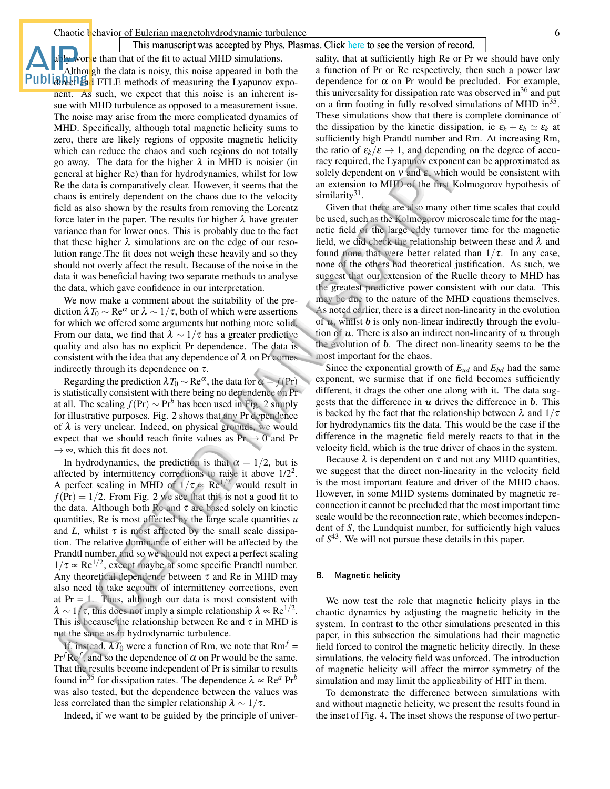by worse than that of the fit to actual MHD simulations. Although the data is noisy, this noise appeared in both the Published and FTLE methods of measuring the Lyapunov exponent. As such, we expect that this noise is an inherent issue with MHD turbulence as opposed to a measurement issue. The noise may arise from the more complicated dynamics of MHD. Specifically, although total magnetic helicity sums to zero, there are likely regions of opposite magnetic helicity which can reduce the chaos and such regions do not totally go away. The data for the higher  $\lambda$  in MHD is noisier (in general at higher Re) than for hydrodynamics, whilst for low Re the data is comparatively clear. However, it seems that the chaos is entirely dependent on the chaos due to the velocity field as also shown by the results from removing the Lorentz force later in the paper. The results for higher  $\lambda$  have greater variance than for lower ones. This is probably due to the fact that these higher  $\lambda$  simulations are on the edge of our resolution range.The fit does not weigh these heavily and so they should not overly affect the result. Because of the noise in the data it was beneficial having two separate methods to analyse the data, which gave confidence in our interpretation.

> We now make a comment about the suitability of the prediction  $\lambda T_0 \sim \text{Re}^{\alpha}$  or  $\lambda \sim 1/\tau$ , both of which were assertions for which we offered some arguments but nothing more solid. From our data, we find that  $\lambda \sim 1/\tau$  has a greater predictive quality and also has no explicit Pr dependence. The data is consistent with the idea that any dependence of  $\lambda$  on Pr comes indirectly through its dependence on  $\tau$ .

> Regarding the prediction  $\lambda T_0 \sim \text{Re}^{\alpha}$ , the data for  $\alpha = f(\text{Pr})$ is statistically consistent with there being no dependence on Pr at all. The scaling  $f(\text{Pr}) \sim \text{Pr}^b$  has been used in Fig. 2 simply for illustrative purposes. Fig. 2 shows that any Pr dependence of  $\lambda$  is very unclear. Indeed, on physical grounds, we would expect that we should reach finite values as  $Pr \rightarrow 0$  and Pr *→* ∞, which this fit does not.

> In hydrodynamics, the prediction is that  $\alpha = 1/2$ , but is affected by intermittency corrections to raise it above  $1/2<sup>2</sup>$ . A perfect scaling in MHD of  $1/\tau \propto \text{Re}^{1/2}$  would result in  $f(\text{Pr}) = 1/2$ . From Fig. 2 we see that this is not a good fit to the data. Although both Re and  $\tau$  are based solely on kinetic quantities, Re is most affected by the large scale quantities *u* and *L*, whilst  $\tau$  is most affected by the small scale dissipation. The relative dominance of either will be affected by the Prandtl number, and so we should not expect a perfect scaling  $1/\tau \propto \text{Re}^{1/2}$ , except maybe at some specific Prandtl number. Any theoretical dependence between  $\tau$  and Re in MHD may also need to take account of intermittency corrections, even at  $Pr = 1$ . Thus, although our data is most consistent with <sup>λ</sup> *<sup>∼</sup>* <sup>1</sup>*/*τ, this does not imply a simple relationship <sup>λ</sup> <sup>∝</sup> Re1*/*<sup>2</sup> . This is because the relationship between Re and  $\tau$  in MHD is not the same as in hydrodynamic turbulence.

> If, instead,  $\lambda T_0$  were a function of Rm, we note that Rm<sup>f</sup> =  $Pr^{f}Re^{f}$ , and so the dependence of  $\alpha$  on Pr would be the same. That the results become independent of Pr is similar to results found in<sup>35</sup> for dissipation rates. The dependence  $\lambda \propto \text{Re}^a \text{Pr}^b$ was also tested, but the dependence between the values was less correlated than the simpler relationship  $\lambda \sim 1/\tau$ .

Indeed, if we want to be guided by the principle of univer-

sality, that at sufficiently high Re or Pr we should have only a function of Pr or Re respectively, then such a power law dependence for  $\alpha$  on Pr would be precluded. For example, this universality for dissipation rate was observed in  $36$  and put on a firm footing in fully resolved simulations of MHD in<sup>35</sup>. These simulations show that there is complete dominance of the dissipation by the kinetic dissipation, ie  $\varepsilon_k + \varepsilon_b \simeq \varepsilon_k$  at sufficiently high Prandtl number and Rm. At increasing Rm, the ratio of  $\varepsilon_k/\varepsilon \to 1$ , and depending on the degree of accuracy required, the Lyapunov exponent can be approximated as solely dependent on  $v$  and  $\varepsilon$ , which would be consistent with an extension to MHD of the first Kolmogorov hypothesis of similarity<sup>31</sup>.

Given that there are also many other time scales that could be used, such as the Kolmogorov microscale time for the magnetic field or the large eddy turnover time for the magnetic field, we did check the relationship between these and  $\lambda$  and found none that were better related than  $1/\tau$ . In any case, none of the others had theoretical justification. As such, we suggest that our extension of the Ruelle theory to MHD has the greatest predictive power consistent with our data. This may be due to the nature of the MHD equations themselves. As noted earlier, there is a direct non-linearity in the evolution of *u*, whilst *b* is only non-linear indirectly through the evolution of *u*. There is also an indirect non-linearity of *u* through the evolution of *b*. The direct non-linearity seems to be the most important for the chaos.

Since the exponential growth of  $E_{ud}$  and  $E_{bd}$  had the same exponent, we surmise that if one field becomes sufficiently different, it drags the other one along with it. The data suggests that the difference in *u* drives the difference in *b*. This is backed by the fact that the relationship between  $\lambda$  and  $1/\tau$ for hydrodynamics fits the data. This would be the case if the difference in the magnetic field merely reacts to that in the velocity field, which is the true driver of chaos in the system.

Because  $\lambda$  is dependent on  $\tau$  and not any MHD quantities, we suggest that the direct non-linearity in the velocity field is the most important feature and driver of the MHD chaos. However, in some MHD systems dominated by magnetic reconnection it cannot be precluded that the most important time scale would be the reconnection rate, which becomes independent of *S*, the Lundquist number, for sufficiently high values of *S* <sup>43</sup>. We will not pursue these details in this paper.

#### B. Magnetic helicity

We now test the role that magnetic helicity plays in the chaotic dynamics by adjusting the magnetic helicity in the system. In contrast to the other simulations presented in this paper, in this subsection the simulations had their magnetic field forced to control the magnetic helicity directly. In these simulations, the velocity field was unforced. The introduction of magnetic helicity will affect the mirror symmetry of the simulation and may limit the applicability of HIT in them.

To demonstrate the difference between simulations with and without magnetic helicity, we present the results found in the inset of Fig. 4. The inset shows the response of two pertur-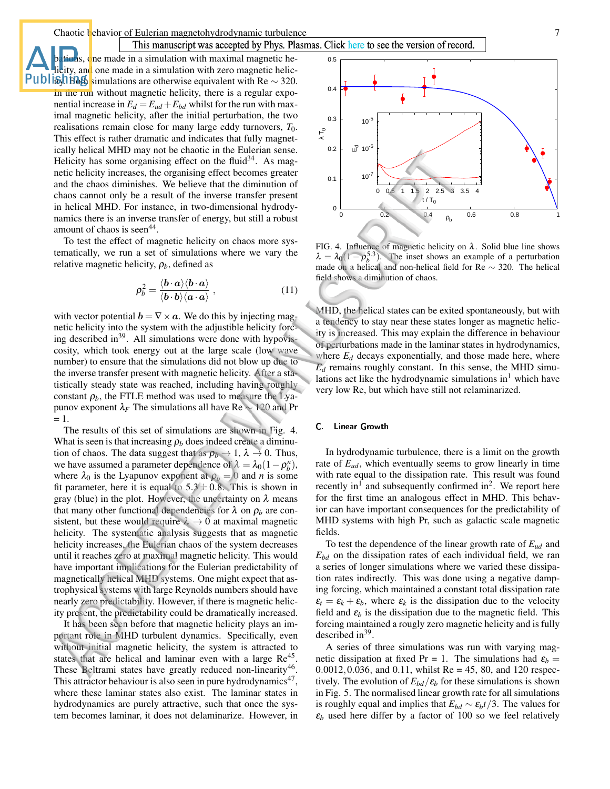**bather** is, one made in a simulation with maximal magnetic hecity, and one made in a simulation with zero magnetic helic-Publish Both simulations are otherwise equivalent with Re ~ 320. In the run without magnetic helicity, there is a regular exponential increase in  $E_d = E_{ud} + E_{bd}$  whilst for the run with maximal magnetic helicity, after the initial perturbation, the two realisations remain close for many large eddy turnovers,  $T_0$ . This effect is rather dramatic and indicates that fully magnetically helical MHD may not be chaotic in the Eulerian sense. Helicity has some organising effect on the fluid<sup>34</sup>. As magnetic helicity increases, the organising effect becomes greater and the chaos diminishes. We believe that the diminution of chaos cannot only be a result of the inverse transfer present in helical MHD. For instance, in two-dimensional hydrodynamics there is an inverse transfer of energy, but still a robust amount of chaos is seen<sup>44</sup>.

> To test the effect of magnetic helicity on chaos more systematically, we run a set of simulations where we vary the relative magnetic helicity,  $\rho_b$ , defined as

$$
\rho_b^2 = \frac{\langle \mathbf{b} \cdot \mathbf{a} \rangle \langle \mathbf{b} \cdot \mathbf{a} \rangle}{\langle \mathbf{b} \cdot \mathbf{b} \rangle \langle \mathbf{a} \cdot \mathbf{a} \rangle},\tag{11}
$$

with vector potential  $\mathbf{b} = \nabla \times \mathbf{a}$ . We do this by injecting magnetic helicity into the system with the adjustible helicity forcing described in $^{39}$ . All simulations were done with hypoviscosity, which took energy out at the large scale (low wave number) to ensure that the simulations did not blow up due to the inverse transfer present with magnetic helicity. After a statistically steady state was reached, including having roughly constant  $\rho_b$ , the FTLE method was used to measure the Lyapunov exponent  $\lambda_F$  The simulations all have Re  $\sim$  120 and Pr  $= 1.$ 

The results of this set of simulations are shown in Fig. 4. What is seen is that increasing  $\rho_b$  does indeed create a diminution of chaos. The data suggest that as  $\rho_b \rightarrow 1$ ,  $\lambda \rightarrow 0$ . Thus, we have assumed a parameter dependence of  $\lambda = \lambda_0 (1 - \rho_b^n)$ , where  $\lambda_0$  is the Lyapunov exponent at  $\rho_b = 0$  and *n* is some fit parameter, here it is equal to  $5.3 \pm 0.8$ . This is shown in gray (blue) in the plot. However, the uncertainty on  $\lambda$  means that many other functional dependencies for  $\lambda$  on  $\rho_b$  are consistent, but these would require  $\lambda \rightarrow 0$  at maximal magnetic helicity. The systematic analysis suggests that as magnetic helicity increases, the Eulerian chaos of the system decreases until it reaches zero at maximal magnetic helicity. This would have important implications for the Eulerian predictability of magnetically helical MHD systems. One might expect that astrophysical systems with large Reynolds numbers should have nearly zero predictability. However, if there is magnetic helicity present, the predictability could be dramatically increased. in helical MHz). For instance, in two-dimensional nyprody-<br>
manics there is an inverse transfer of energy, but still a robust<br>
manics there is an inverse transfer of energy, but still a robust<br>
To test the effect of magne

It has been seen before that magnetic helicity plays an important role in MHD turbulent dynamics. Specifically, even without initial magnetic helicity, the system is attracted to states that are helical and laminar even with a large Re<sup>45</sup>. These Beltrami states have greatly reduced non-linearity<sup>46</sup>. This attractor behaviour is also seen in pure hydrodynamics $47$ , where these laminar states also exist. The laminar states in hydrodynamics are purely attractive, such that once the sys-



FIG. 4. Influence of magnetic helicity on  $\lambda$ . Solid blue line shows  $\lambda = \lambda_0 (1 - \rho_b^{5.3})$ . The inset shows an example of a perturbation made on a helical and non-helical field for Re *∼* 320. The helical field shows a diminution of chaos.

MHD, the helical states can be exited spontaneously, but with a tendency to stay near these states longer as magnetic helicity is increased. This may explain the difference in behaviour of perturbations made in the laminar states in hydrodynamics, where  $E_d$  decays exponentially, and those made here, where  $E_d$  remains roughly constant. In this sense, the MHD simulations act like the hydrodynamic simulations in<sup>1</sup> which have very low Re, but which have still not relaminarized.

#### C. Linear Growth

In hydrodynamic turbulence, there is a limit on the growth rate of  $E_{ud}$ , which eventually seems to grow linearly in time with rate equal to the dissipation rate. This result was found recently in<sup>1</sup> and subsequently confirmed in<sup>2</sup>. We report here for the first time an analogous effect in MHD. This behavior can have important consequences for the predictability of MHD systems with high Pr, such as galactic scale magnetic fields.

To test the dependence of the linear growth rate of *Eud* and *Ebd* on the dissipation rates of each individual field, we ran a series of longer simulations where we varied these dissipation rates indirectly. This was done using a negative damping forcing, which maintained a constant total dissipation rate  $\varepsilon_t = \varepsilon_k + \varepsilon_b$ , where  $\varepsilon_k$  is the dissipation due to the velocity field and  $\varepsilon_b$  is the dissipation due to the magnetic field. This forcing maintained a rougly zero magnetic helicity and is fully described in  $39$ .

A series of three simulations was run with varying magnetic dissipation at fixed Pr = 1. The simulations had  $\varepsilon_b$  = 0*.*0012*,*0*.*036*,* and 0.11, whilst Re = 45, 80, and 120 respectively. The evolution of  $E_{bd}/\varepsilon_b$  for these simulations is shown in Fig. 5. The normalised linear growth rate for all simulations is roughly equal and implies that  $E_{bd} \sim \varepsilon_b t/3$ . The values for  $\varepsilon_b$  used here differ by a factor of 100 so we feel relatively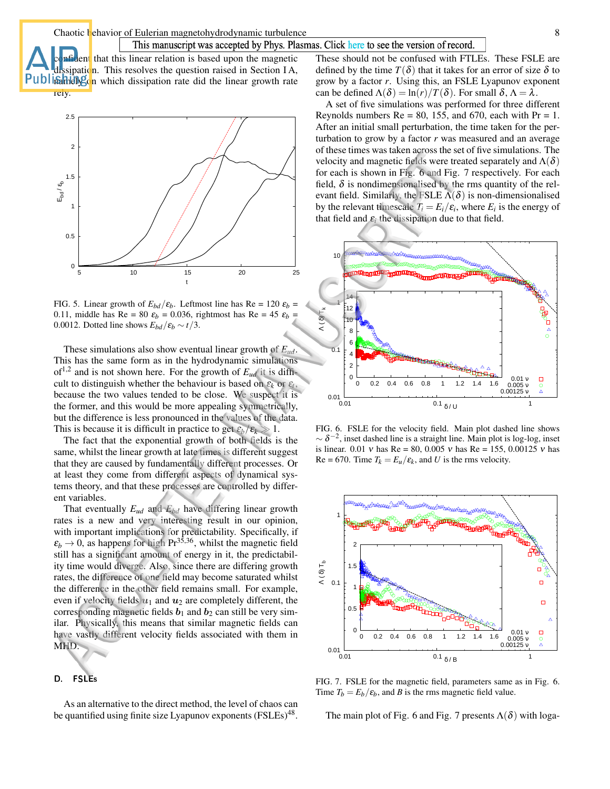rely.

#### This manuscript was accepted by Phys. Plasmas. Click here to see the version of record.

fident that this linear relation is based upon the magnetic sipation. This resolves the question raised in Section IA, **Publishing** on which dissipation rate did the linear growth rate



FIG. 5. Linear growth of  $E_{bd}/\varepsilon_b$ . Leftmost line has Re = 120  $\varepsilon_b$  = 0.11, middle has Re = 80  $\varepsilon_b$  = 0.036, rightmost has Re = 45  $\varepsilon_b$  = 0.0012. Dotted line shows  $E_{bd}/\epsilon_b \sim t/3$ .

These simulations also show eventual linear growth of *Eud*. This has the same form as in the hydrodynamic simulations of<sup>1,2</sup> and is not shown here. For the growth of  $E_{ud}$  it is difficult to distinguish whether the behaviour is based on  $\varepsilon_k$  or  $\varepsilon_i$ , because the two values tended to be close. We suspect it is the former, and this would be more appealing symmetrically, but the difference is less pronounced in the values of the data. This is because it is difficult in practice to get  $\varepsilon_b/\varepsilon_k \gg 1$ .

The fact that the exponential growth of both fields is the same, whilst the linear growth at late times is different suggest that they are caused by fundamentally different processes. Or at least they come from different aspects of dynamical systems theory, and that these processes are controlled by different variables.

That eventually  $E_{ud}$  and  $E_{bd}$  have differing linear growth rates is a new and very interesting result in our opinion, with important implications for predictability. Specifically, if  $\varepsilon_b \rightarrow 0$ , as happens for high Pr<sup>35,36</sup>, whilst the magnetic field still has a significant amount of energy in it, the predictability time would diverge. Also, since there are differing growth rates, the difference of one field may become saturated whilst the difference in the other field remains small. For example, even if velocity fields  $u_1$  and  $u_2$  are completely different, the corresponding magnetic fields  $b_1$  and  $b_2$  can still be very similar. Physically, this means that similar magnetic fields can have vastly different velocity fields associated with them in MHD.

#### D. FSLEs

As an alternative to the direct method, the level of chaos can be quantified using finite size Lyapunov exponents (FSLEs)<sup>48</sup>.

These should not be confused with FTLEs. These FSLE are defined by the time  $T(\delta)$  that it takes for an error of size  $\delta$  to grow by a factor *r*. Using this, an FSLE Lyapunov exponent can be defined  $\Lambda(\delta) = \ln(r)/T(\delta)$ . For small  $\delta, \Lambda = \lambda$ .

A set of five simulations was performed for three different Reynolds numbers  $Re = 80$ , 155, and 670, each with  $Pr = 1$ . After an initial small perturbation, the time taken for the perturbation to grow by a factor *r* was measured and an average of these times was taken across the set of five simulations. The velocity and magnetic fields were treated separately and  $\Lambda(\delta)$ for each is shown in Fig. 6 and Fig. 7 respectively. For each field,  $\delta$  is nondimensionalised by the rms quantity of the relevant field. Similarly, the FSLE  $\Lambda(\delta)$  is non-dimensionalised by the relevant timescale  $T_i = E_i / \varepsilon_i$ , where  $E_i$  is the energy of that field and  $\varepsilon_i$  the dissipation due to that field.



FIG. 6. FSLE for the velocity field. Main plot dashed line shows *∼* <sup>δ</sup> *−*2 , inset dashed line is a straight line. Main plot is log-log, inset is linear. 0.01 v has  $Re = 80$ , 0.005 v has  $Re = 155$ , 0.00125 v has  $Re = 670$ . Time  $T_k = E_u / \varepsilon_k$ , and *U* is the rms velocity.



FIG. 7. FSLE for the magnetic field, parameters same as in Fig. 6. Time  $T_b = E_b / \varepsilon_b$ , and *B* is the rms magnetic field value.

The main plot of Fig. 6 and Fig. 7 presents  $\Lambda(\delta)$  with loga-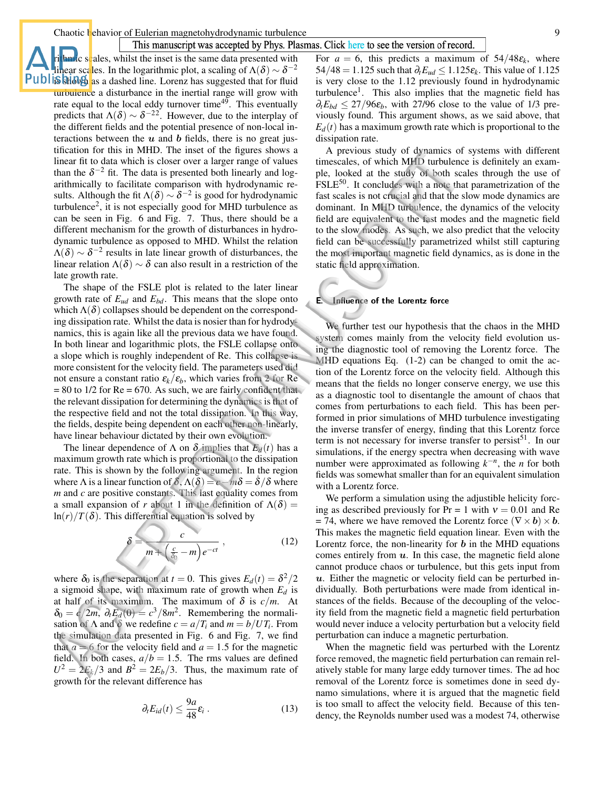**hince** scales, whilst the inset is the same data presented with linear scales. In the logarithmic plot, a scaling of  $\Lambda(\delta) \sim \delta^{-2}$ Publis shown as a dashed line. Lorenz has suggested that for fluid turbulence a disturbance in the inertial range will grow with rate equal to the local eddy turnover time $49$ . This eventually predicts that  $\Lambda(\delta) \sim \delta^{-22}$ . However, due to the interplay of the different fields and the potential presence of non-local interactions between the  $u$  and  $b$  fields, there is no great justification for this in MHD. The inset of the figures shows a linear fit to data which is closer over a larger range of values than the  $\delta^{-2}$  fit. The data is presented both linearly and logarithmically to facilitate comparison with hydrodynamic results. Although the fit  $\Lambda(\delta) \sim \delta^{-2}$  is good for hydrodynamic turbulence<sup>2</sup>, it is not especially good for MHD turbulence as can be seen in Fig. 6 and Fig. 7. Thus, there should be a different mechanism for the growth of disturbances in hydrodynamic turbulence as opposed to MHD. Whilst the relation  $\Lambda(\delta) \sim \delta^{-2}$  results in late linear growth of disturbances, the linear relation  $\Lambda(\delta) \sim \delta$  can also result in a restriction of the late growth rate.

> The shape of the FSLE plot is related to the later linear growth rate of  $E_{ud}$  and  $E_{bd}$ . This means that the slope onto which  $\Lambda(\delta)$  collapses should be dependent on the corresponding dissipation rate. Whilst the data is nosier than for hydrodynamics, this is again like all the previous data we have found. In both linear and logarithmic plots, the FSLE collapse onto a slope which is roughly independent of Re. This collapse is more consistent for the velocity field. The parameters used did not ensure a constant ratio  $\varepsilon_k/\varepsilon_b$ , which varies from 2 for Re  $= 80$  to 1/2 for Re  $= 670$ . As such, we are fairly confident that the relevant dissipation for determining the dynamics is that of the respective field and not the total dissipation. In this way, the fields, despite being dependent on each other non-linearly, have linear behaviour dictated by their own evolution.

The linear dependence of  $\Lambda$  on  $\delta$  implies that  $E_d(t)$  has a maximum growth rate which is proportional to the dissipation rate. This is shown by the following argument. In the region where  $\Lambda$  is a linear function of  $\delta$ ,  $\Lambda(\delta) = c - m\delta = \delta/\delta$  where *m* and *c* are positive constants. This last equality comes from a small expansion of *r* about 1 in the definition of  $\Lambda(\delta)$  =  $\ln(r)/T(\delta)$ . This differential equation is solved by

A

$$
\delta = \frac{c}{m + \left(\frac{c}{\delta_0} - m\right)e^{-ct}}\,,\tag{12}
$$

where  $\delta_0$  is the separation at  $t = 0$ . This gives  $E_d(t) = \delta^2/2$ a sigmoid shape, with maximum rate of growth when *E<sup>d</sup>* is at half of its maximum. The maximum of  $\delta$  is  $c/m$ . At  $\delta_0 = c/2m$ ,  $\partial_t E_d(0) = c^3/8m^2$ . Remembering the normalisation of  $\Lambda$  and  $\delta$  we redefine  $c = a/T_i$  and  $m = b/UT_i$ . From the simulation data presented in Fig. 6 and Fig. 7, we find that  $a = 6$  for the velocity field and  $a = 1.5$  for the magnetic field. In both cases,  $a/b = 1.5$ . The rms values are defined  $U^2 = 2E_k/3$  and  $B^2 = 2E_b/3$ . Thus, the maximum rate of growth for the relevant difference has

$$
\partial_t E_{id}(t) \le \frac{9a}{48} \varepsilon_i \,. \tag{13}
$$

For  $a = 6$ , this predicts a maximum of  $54/48\varepsilon_k$ , where  $54/48 = 1.125$  such that  $\partial_t E_{ud} \leq 1.125 \varepsilon_k$ . This value of 1.125 is very close to the 1.12 previously found in hydrodynamic turbulence<sup>1</sup>. This also implies that the magnetic field has  $\partial_t E_{bd} \leq 27/96 \varepsilon_b$ , with 27/96 close to the value of 1/3 previously found. This argument shows, as we said above, that  $E_d(t)$  has a maximum growth rate which is proportional to the dissipation rate.

A previous study of dynamics of systems with different timescales, of which MHD turbulence is definitely an example, looked at the study of both scales through the use of FSLE<sup>50</sup>. It concludes with a note that parametrization of the fast scales is not crucial and that the slow mode dynamics are dominant. In MHD turbulence, the dynamics of the velocity field are equivalent to the fast modes and the magnetic field to the slow modes. As such, we also predict that the velocity field can be successfully parametrized whilst still capturing the most important magnetic field dynamics, as is done in the static field approximation.

#### Influence of the Lorentz force

We further test our hypothesis that the chaos in the MHD system comes mainly from the velocity field evolution using the diagnostic tool of removing the Lorentz force. The MHD equations Eq. (1-2) can be changed to omit the action of the Lorentz force on the velocity field. Although this means that the fields no longer conserve energy, we use this as a diagnostic tool to disentangle the amount of chaos that comes from perturbations to each field. This has been performed in prior simulations of MHD turbulence investigating the inverse transfer of energy, finding that this Lorentz force term is not necessary for inverse transfer to persist<sup>51</sup>. In our simulations, if the energy spectra when decreasing with wave number were approximated as following  $k^{-n}$ , the *n* for both fields was somewhat smaller than for an equivalent simulation with a Lorentz force.

We perform a simulation using the adjustible helicity forcing as described previously for  $Pr = 1$  with  $v = 0.01$  and Re = 74, where we have removed the Lorentz force  $(\nabla \times \mathbf{b}) \times \mathbf{b}$ . This makes the magnetic field equation linear. Even with the Lorentz force, the non-linearity for *b* in the MHD equations comes entirely from *u*. In this case, the magnetic field alone cannot produce chaos or turbulence, but this gets input from *u*. Either the magnetic or velocity field can be perturbed individually. Both perturbations were made from identical instances of the fields. Because of the decoupling of the velocity field from the magnetic field a magnetic field perturbation would never induce a velocity perturbation but a velocity field perturbation can induce a magnetic perturbation.

When the magnetic field was perturbed with the Lorentz force removed, the magnetic field perturbation can remain relatively stable for many large eddy turnover times. The ad hoc removal of the Lorentz force is sometimes done in seed dynamo simulations, where it is argued that the magnetic field is too small to affect the velocity field. Because of this tendency, the Reynolds number used was a modest 74, otherwise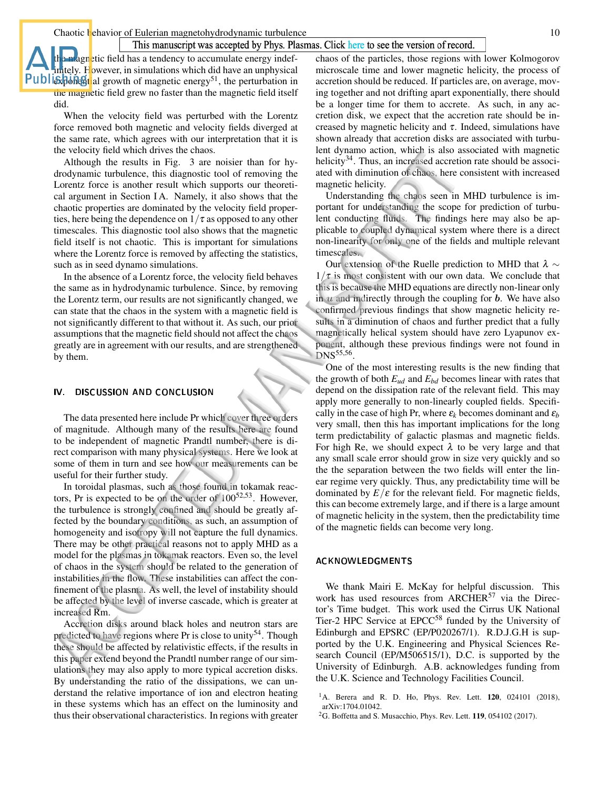magnetic field has a tendency to accumulate energy indefintely. However, in simulations which did have an unphysical **Publishing** al growth of magnetic energy<sup>51</sup>, the perturbation in the magnetic field grew no faster than the magnetic field itself did.

> When the velocity field was perturbed with the Lorentz force removed both magnetic and velocity fields diverged at the same rate, which agrees with our interpretation that it is the velocity field which drives the chaos.

> Although the results in Fig. 3 are noisier than for hydrodynamic turbulence, this diagnostic tool of removing the Lorentz force is another result which supports our theoretical argument in Section I A. Namely, it also shows that the chaotic properties are dominated by the velocity field properties, here being the dependence on  $1/\tau$  as opposed to any other timescales. This diagnostic tool also shows that the magnetic field itself is not chaotic. This is important for simulations where the Lorentz force is removed by affecting the statistics, such as in seed dynamo simulations.

> In the absence of a Lorentz force, the velocity field behaves the same as in hydrodynamic turbulence. Since, by removing the Lorentz term, our results are not significantly changed, we can state that the chaos in the system with a magnetic field is not significantly different to that without it. As such, our prior assumptions that the magnetic field should not affect the chaos greatly are in agreement with our results, and are strengthened by them.

#### IV. DISCUSSION AND CONCLUSION

The data presented here include Pr which cover three orders of magnitude. Although many of the results here are found to be independent of magnetic Prandtl number, there is direct comparison with many physical systems. Here we look at some of them in turn and see how our measurements can be useful for their further study.

In toroidal plasmas, such as those found in tokamak reactors, Pr is expected to be on the order of  $100^{52,53}$ . However, the turbulence is strongly confined and should be greatly affected by the boundary conditions, as such, an assumption of homogeneity and isotropy will not capture the full dynamics. There may be other practical reasons not to apply MHD as a model for the plasmas in tokamak reactors. Even so, the level of chaos in the system should be related to the generation of instabilities in the flow. These instabilities can affect the confinement of the plasma. As well, the level of instability should be affected by the level of inverse cascade, which is greater at increased Rm.

Accretion disks around black holes and neutron stars are predicted to have regions where Pr is close to unity<sup>54</sup>. Though these should be affected by relativistic effects, if the results in this paper extend beyond the Prandtl number range of our simulations they may also apply to more typical accretion disks. By understanding the ratio of the dissipations, we can understand the relative importance of ion and electron heating in these systems which has an effect on the luminosity and thus their observational characteristics. In regions with greater

chaos of the particles, those regions with lower Kolmogorov microscale time and lower magnetic helicity, the process of accretion should be reduced. If particles are, on average, moving together and not drifting apart exponentially, there should be a longer time for them to accrete. As such, in any accretion disk, we expect that the accretion rate should be increased by magnetic helicity and  $\tau$ . Indeed, simulations have shown already that accretion disks are associated with turbulent dynamo action, which is also associated with magnetic helicity<sup>34</sup>. Thus, an increased accretion rate should be associated with diminution of chaos, here consistent with increased magnetic helicity.

Understanding the chaos seen in MHD turbulence is important for understanding the scope for prediction of turbulent conducting fluids. The findings here may also be applicable to coupled dynamical system where there is a direct non-linearity for only one of the fields and multiple relevant timescales.

Our extension of the Ruelle prediction to MHD that <sup>λ</sup> *∼*  $1/\tau$  is most consistent with our own data. We conclude that this is because the MHD equations are directly non-linear only in *u* and indirectly through the coupling for *b*. We have also confirmed previous findings that show magnetic helicity results in a diminution of chaos and further predict that a fully magnetically helical system should have zero Lyapunov exponent, although these previous findings were not found in  $DNS^{55,56}$ .

One of the most interesting results is the new finding that the growth of both  $E_{ud}$  and  $E_{bd}$  becomes linear with rates that depend on the dissipation rate of the relevant field. This may apply more generally to non-linearly coupled fields. Specifically in the case of high Pr, where  $\varepsilon_k$  becomes dominant and  $\varepsilon_b$ very small, then this has important implications for the long term predictability of galactic plasmas and magnetic fields. For high Re, we should expect  $\lambda$  to be very large and that any small scale error should grow in size very quickly and so the the separation between the two fields will enter the linear regime very quickly. Thus, any predictability time will be dominated by  $E/\varepsilon$  for the relevant field. For magnetic fields, this can become extremely large, and if there is a large amount of magnetic helicity in the system, then the predictability time of the magnetic fields can become very long.

#### ACKNOWLEDGMENTS

We thank Mairi E. McKay for helpful discussion. This work has used resources from ARCHER<sup>57</sup> via the Director's Time budget. This work used the Cirrus UK National Tier-2 HPC Service at EPCC<sup>58</sup> funded by the University of Edinburgh and EPSRC (EP/P020267/1). R.D.J.G.H is supported by the U.K. Engineering and Physical Sciences Research Council (EP/M506515/1), D.C. is supported by the University of Edinburgh. A.B. acknowledges funding from the U.K. Science and Technology Facilities Council.

 ${}^{2}$ G. Boffetta and S. Musacchio, Phys. Rev. Lett. 119, 054102 (2017).

<sup>&</sup>lt;sup>1</sup>A. Berera and R. D. Ho, Phys. Rev. Lett. **120**, 024101 (2018), arXiv:1704.01042.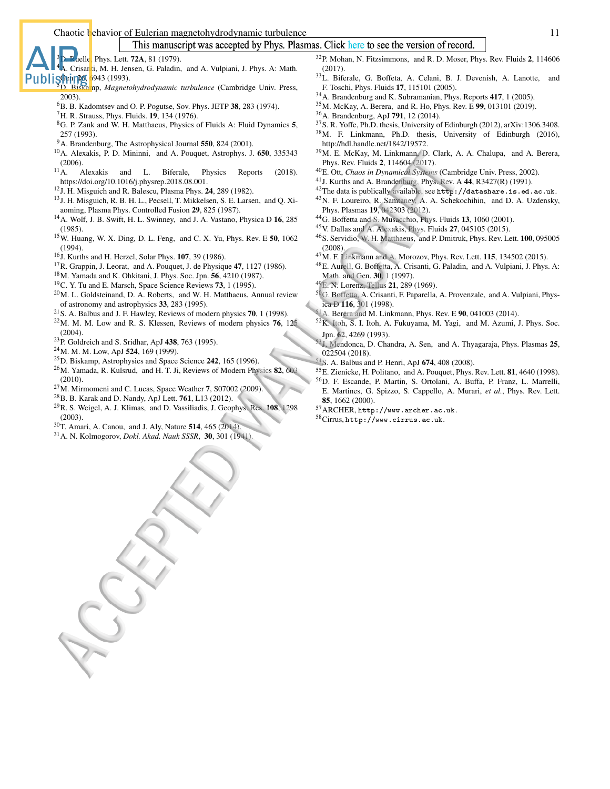#### **2delle, Phys. Lett. 72A,** 81 (1979).

A. Crisanti, M. H. Jensen, G. Paladin, and A. Vulpiani, J. Phys. A: Math. Gen**ro**, 6943 (1993).

- <sup>5</sup>D. Biskamp, *Magnetohydrodynamic turbulence* (Cambridge Univ. Press, 2003).
	- <sup>6</sup>B. B. Kadomtsev and O. P. Pogutse, Sov. Phys. JETP 38, 283 (1974).
	- <sup>7</sup>H. R. Strauss, Phys. Fluids. **19**, 134 (1976).
	- <sup>8</sup>G. P. Zank and W. H. Matthaeus, Physics of Fluids A: Fluid Dynamics 5, 257 (1993).
	- <sup>9</sup>A. Brandenburg, The Astrophysical Journal 550, 824 (2001).
	- <sup>10</sup>A. Alexakis, P. D. Mininni, and A. Pouquet, Astrophys. J. 650, 335343  $^{(2006)}$ .<br><sup>11</sup>A. *A*
	- Alexakis and L. Biferale, Physics Reports (2018). https://doi.org/10.1016/j.physrep.2018.08.001.
	- <sup>12</sup>J. H. Misguich and R. Balescu, Plasma Phys. **24**, 289 (1982).
	- <sup>13</sup>J. H. Misguich, R. B. H. L., Pecsell, T. Mikkelsen, S. E. Larsen, and Q. Xiaoming, Plasma Phys. Controlled Fusion 29, 825 (1987).
	- <sup>14</sup>A. Wolf, J. B. Swift, H. L. Swinney, and J. A. Vastano, Physica D 16, 285 (1985).
	- <sup>15</sup>W. Huang, W. X. Ding, D. L. Feng, and C. X. Yu, Phys. Rev. E 50, 1062 (1994).
	- <sup>16</sup>J. Kurths and H. Herzel, Solar Phys. 107, 39 (1986).
	- <sup>17</sup>R. Grappin, J. Leorat, and A. Pouquet, J. de Physique **47**, 1127 (1986).
	- <sup>18</sup>M. Yamada and K. Ohkitani, J. Phys. Soc. Jpn. 56, 4210 (1987).
	- <sup>19</sup>C. Y. Tu and E. Marsch, Space Science Reviews 73, 1 (1995).
	- <sup>20</sup>M. L. Goldsteinand, D. A. Roberts, and W. H. Matthaeus, Annual review of astronomy and astrophysics 33, 283 (1995).
	- $21$ S. A. Balbus and J. F. Hawley, Reviews of modern physics 70, 1 (1998).
	- $22$ M. M. M. Low and R. S. Klessen, Reviews of modern physics  $76$ ,  $125$ (2004).
	- <sup>23</sup>P. Goldreich and S. Sridhar, ApJ 438, 763 (1995).
	- <sup>24</sup>M. M. M. Low, ApJ 524, 169 (1999).
	- <sup>25</sup>D. Biskamp, Astrophysics and Space Science 242, 165 (1996).
	- <sup>26</sup>M. Yamada, R. Kulsrud, and H. T. Ji, Reviews of Modern Physics 82, 603 (2010).
	- $27$ M. Mirmomeni and C. Lucas, Space Weather 7, S07002 (2009).
	- <sup>28</sup>B. B. Karak and D. Nandy, ApJ Lett. 761, L13 (2012).
	- <sup>29</sup>R. S. Weigel, A. J. Klimas, and D. Vassiliadis, J. Geophys. Res. 108, 1298 (2003).
	- <sup>30</sup>T. Amari, A. Canou, and J. Aly, Nature **514**, 465 (2014).
	- <sup>31</sup>A. N. Kolmogorov, *Dokl. Akad. Nauk SSSR*, 30, 301 (1941).
- <sup>32</sup>P. Mohan, N. Fitzsimmons, and R. D. Moser, Phys. Rev. Fluids 2, 114606 (2017).
- <sup>33</sup>L. Biferale, G. Boffeta, A. Celani, B. J. Devenish, A. Lanotte, and F. Toschi, Phys. Fluids 17, 115101 (2005).
- <sup>34</sup>A. Brandenburg and K. Subramanian, Phys. Reports 417, 1 (2005).
- <sup>35</sup>M. McKay, A. Berera, and R. Ho, Phys. Rev. E 99, 013101 (2019).
- <sup>36</sup>A. Brandenburg, ApJ 791, 12 (2014).
- <sup>37</sup>S. R. Yoffe, Ph.D. thesis, University of Edinburgh (2012), arXiv:1306.3408.
- <sup>38</sup>M. F. Linkmann, Ph.D. thesis, University of Edinburgh (2016), http://hdl.handle.net/1842/19572.
- <sup>39</sup>M. E. McKay, M. Linkmann, D. Clark, A. A. Chalupa, and A. Berera, Phys. Rev. Fluids 2, 114604 (2017).
- <sup>40</sup>E. Ott, *Chaos in Dynamical Systems* (Cambridge Univ. Press, 2002).
- <sup>41</sup>J. Kurths and A. Brandenburg, Phys. Rev. A 44, R3427(R) (1991).
- <sup>42</sup>The data is publically available, see http://datashare.is.ed.ac.uk. <sup>43</sup>N. F. Loureiro, R. Samtaney, A. A. Schekochihin, and D. A. Uzdensky,
- Phys. Plasmas 19, 042303 (2012).
- <sup>44</sup>G. Boffetta and S. Musacchio, Phys. Fluids 13, 1060 (2001).
- <sup>45</sup>V. Dallas and A. Alexakis, Phys. Fluids 27, 045105 (2015).
- <sup>46</sup>S. Servidio, W. H. Matthaeus, and P. Dmitruk, Phys. Rev. Lett. 100, 095005 (2008).
- $^{47}$ M. F. Linkmann and A. Morozov, Phys. Rev. Lett. 115, 134502 (2015).
- 48E. Aurell, G. Boffetta, A. Crisanti, G. Paladin, and A. Vulpiani, J. Phys. A: Math. and Gen. 30, 1 (1997).
- <sup>49</sup>E. N. Lorenz, Tellus **21**, 289 (1969).
- <sup>50</sup>G. Boffetta, A. Crisanti, F. Paparella, A. Provenzale, and A. Vulpiani, Physica D 116, 301 (1998).
- $5<sup>1</sup>A$ . Berera and M. Linkmann, Phys. Rev. E 90, 041003 (2014).
- <sup>52</sup>K. Itoh, S. I. Itoh, A. Fukuyama, M. Yagi, and M. Azumi, J. Phys. Soc. Jpn. 62, 4269 (1993).
- $^{3}$ J. Mendonca, D. Chandra, A. Sen, and A. Thyagaraja, Phys. Plasmas 25, 022504 (2018).
- $54$ S. A. Balbus and P. Henri, ApJ 674, 408 (2008).
- <sup>55</sup>E. Zienicke, H. Politano, and A. Pouquet, Phys. Rev. Lett. 81, 4640 (1998).
- <sup>56</sup>D. F. Escande, P. Martin, S. Ortolani, A. Buffa, P. Franz, L. Marrelli, E. Martines, G. Spizzo, S. Cappello, A. Murari, *et al.*, Phys. Rev. Lett. 85, 1662 (2000).
- <sup>57</sup>ARCHER, http://www.archer.ac.uk.
- <sup>58</sup>Cirrus, http://www.cirrus.ac.uk.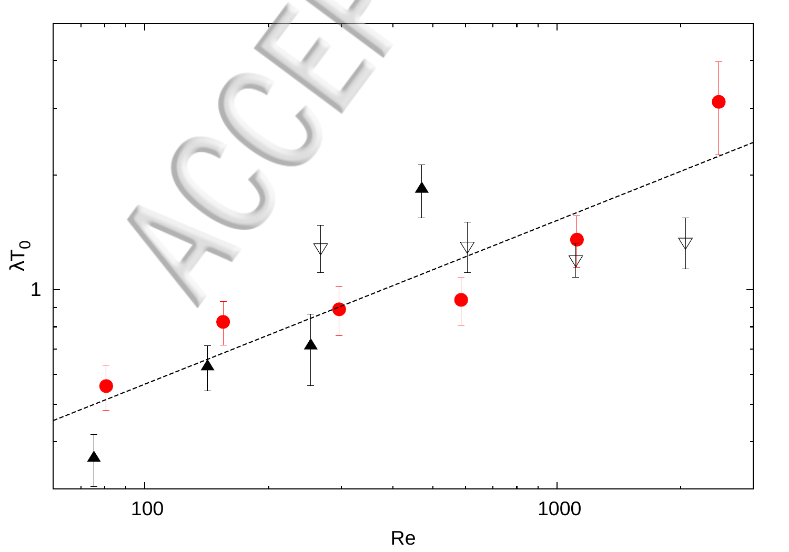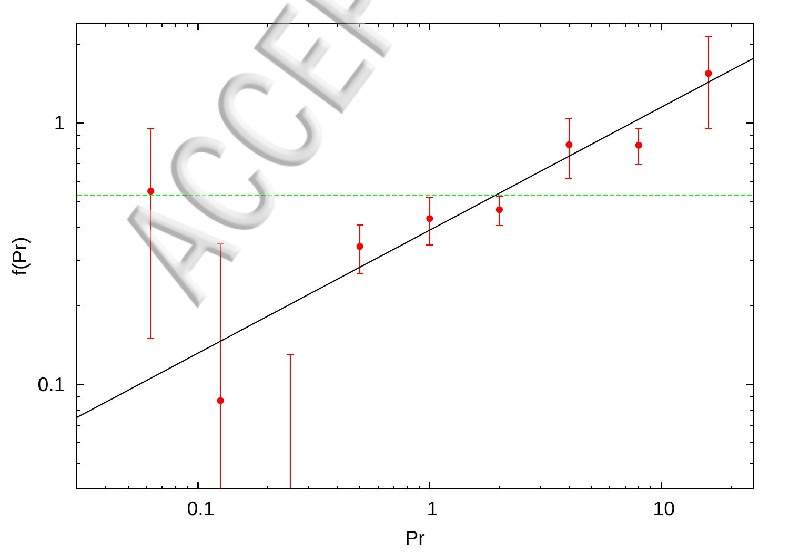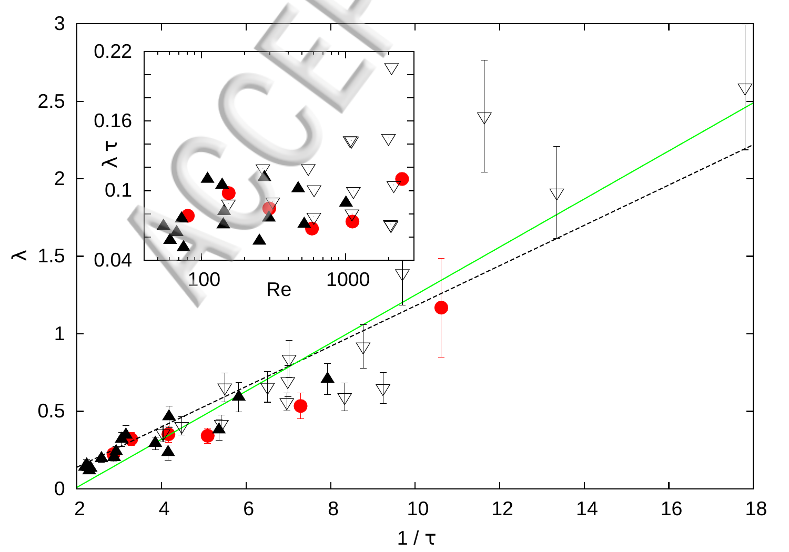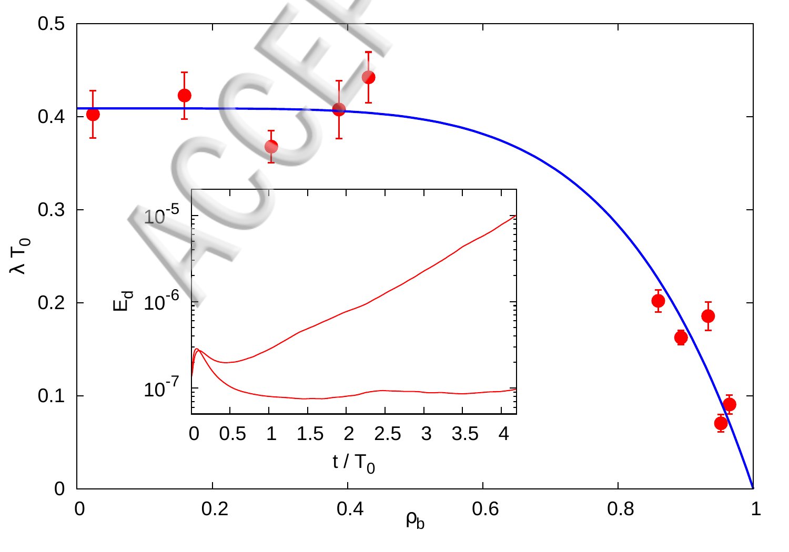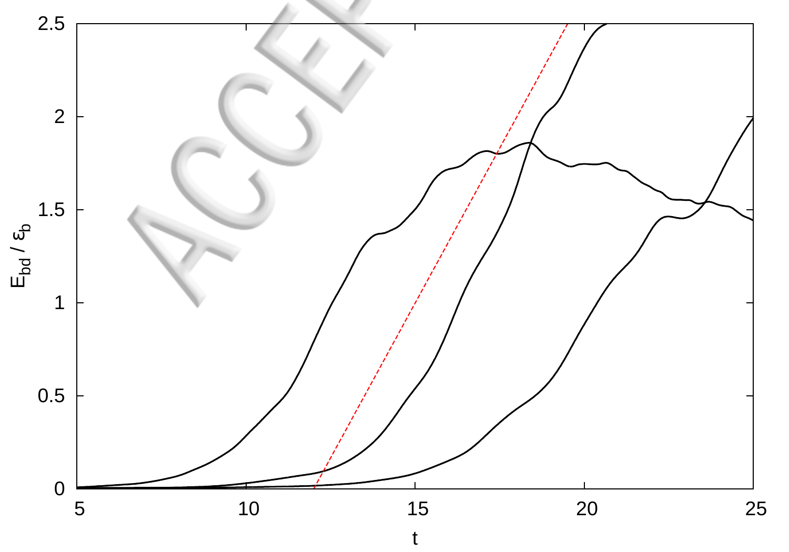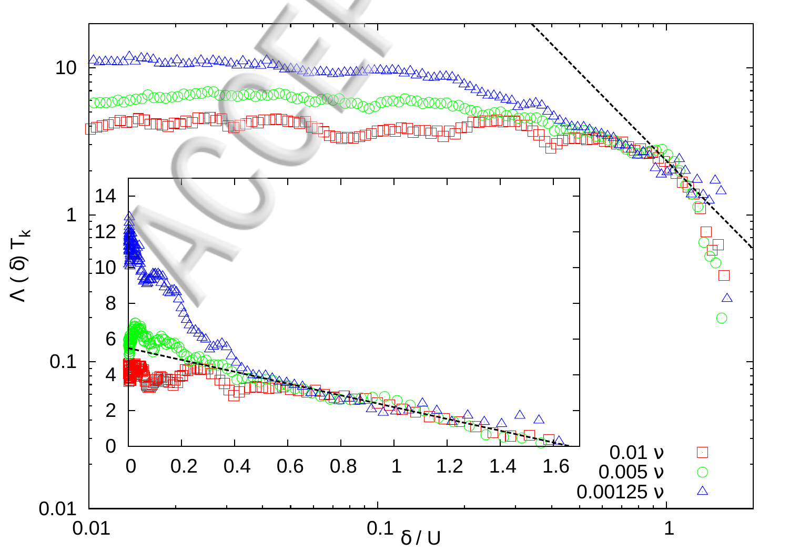